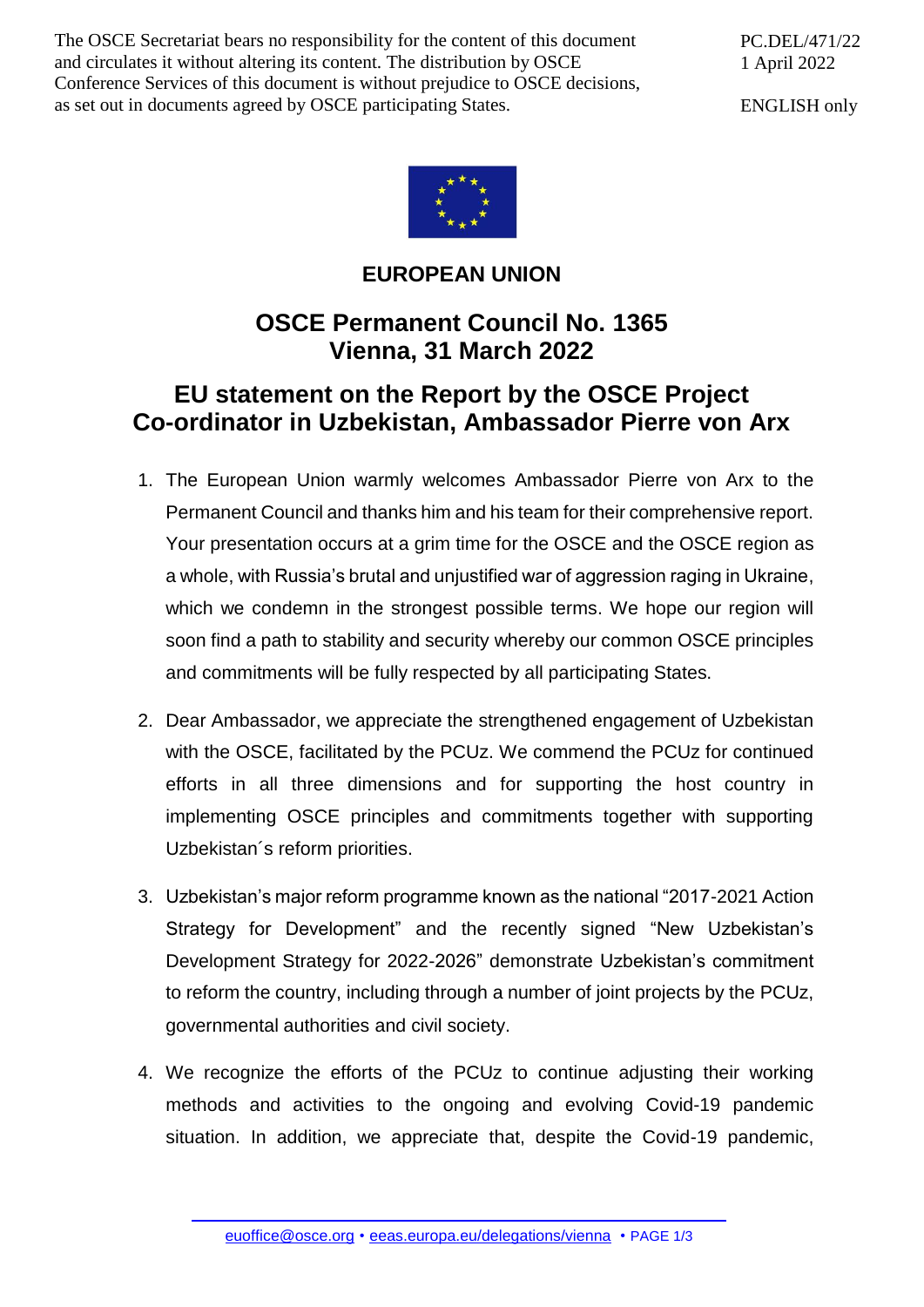The OSCE Secretariat bears no responsibility for the content of this document and circulates it without altering its content. The distribution by OSCE Conference Services of this document is without prejudice to OSCE decisions, as set out in documents agreed by OSCE participating States.

PC.DEL/471/22 1 April 2022

ENGLISH only



## **EUROPEAN UNION**

## **OSCE Permanent Council No. 1365 Vienna, 31 March 2022**

## **EU statement on the Report by the OSCE Project Co-ordinator in Uzbekistan, Ambassador Pierre von Arx**

- 1. The European Union warmly welcomes Ambassador Pierre von Arx to the Permanent Council and thanks him and his team for their comprehensive report. Your presentation occurs at a grim time for the OSCE and the OSCE region as a whole, with Russia's brutal and unjustified war of aggression raging in Ukraine, which we condemn in the strongest possible terms. We hope our region will soon find a path to stability and security whereby our common OSCE principles and commitments will be fully respected by all participating States.
- 2. Dear Ambassador, we appreciate the strengthened engagement of Uzbekistan with the OSCE, facilitated by the PCUz. We commend the PCUz for continued efforts in all three dimensions and for supporting the host country in implementing OSCE principles and commitments together with supporting Uzbekistan´s reform priorities.
- 3. Uzbekistan's major reform programme known as the national "2017-2021 Action Strategy for Development" and the recently signed "New Uzbekistan's Development Strategy for 2022-2026" demonstrate Uzbekistan's commitment to reform the country, including through a number of joint projects by the PCUz, governmental authorities and civil society.
- 4. We recognize the efforts of the PCUz to continue adjusting their working methods and activities to the ongoing and evolving Covid-19 pandemic situation. In addition, we appreciate that, despite the Covid-19 pandemic,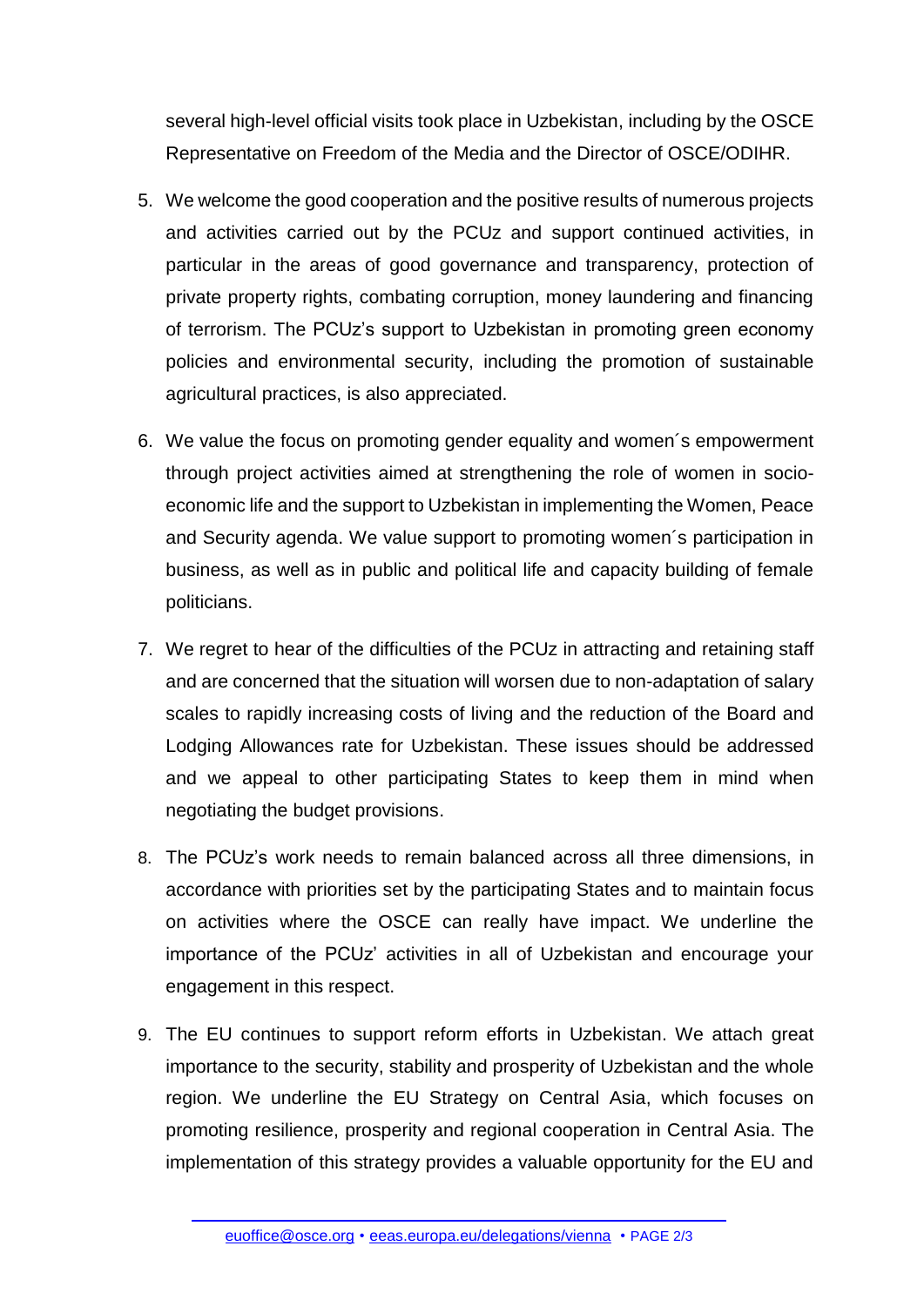several high-level official visits took place in Uzbekistan, including by the OSCE Representative on Freedom of the Media and the Director of OSCE/ODIHR.

- 5. We welcome the good cooperation and the positive results of numerous projects and activities carried out by the PCUz and support continued activities, in particular in the areas of good governance and transparency, protection of private property rights, combating corruption, money laundering and financing of terrorism. The PCUz's support to Uzbekistan in promoting green economy policies and environmental security, including the promotion of sustainable agricultural practices, is also appreciated.
- 6. We value the focus on promoting gender equality and women´s empowerment through project activities aimed at strengthening the role of women in socioeconomic life and the support to Uzbekistan in implementing the Women, Peace and Security agenda. We value support to promoting women´s participation in business, as well as in public and political life and capacity building of female politicians.
- 7. We regret to hear of the difficulties of the PCUz in attracting and retaining staff and are concerned that the situation will worsen due to non-adaptation of salary scales to rapidly increasing costs of living and the reduction of the Board and Lodging Allowances rate for Uzbekistan. These issues should be addressed and we appeal to other participating States to keep them in mind when negotiating the budget provisions.
- 8. The PCUz's work needs to remain balanced across all three dimensions, in accordance with priorities set by the participating States and to maintain focus on activities where the OSCE can really have impact. We underline the importance of the PCUz' activities in all of Uzbekistan and encourage your engagement in this respect.
- 9. The EU continues to support reform efforts in Uzbekistan. We attach great importance to the security, stability and prosperity of Uzbekistan and the whole region. We underline the EU Strategy on Central Asia, which focuses on promoting resilience, prosperity and regional cooperation in Central Asia. The implementation of this strategy provides a valuable opportunity for the EU and